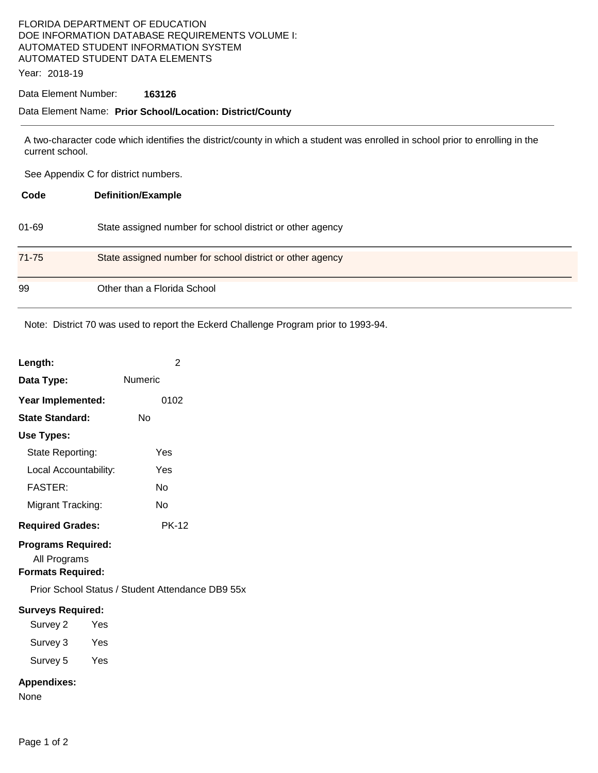# FLORIDA DEPARTMENT OF EDUCATION DOE INFORMATION DATABASE REQUIREMENTS VOLUME I: AUTOMATED STUDENT INFORMATION SYSTEM AUTOMATED STUDENT DATA ELEMENTS

Year: 2018-19

### Data Element Number: **163126**

#### Data Element Name: **Prior School/Location: District/County**

A two-character code which identifies the district/county in which a student was enrolled in school prior to enrolling in the current school.

See Appendix C for district numbers.

| Code      | <b>Definition/Example</b>                                 |
|-----------|-----------------------------------------------------------|
| $01 - 69$ | State assigned number for school district or other agency |
| 71-75     | State assigned number for school district or other agency |
| 99        | Other than a Florida School                               |

Note: District 70 was used to report the Eckerd Challenge Program prior to 1993-94.

| Length:                                                                     | 2                                                |
|-----------------------------------------------------------------------------|--------------------------------------------------|
| Data Type:                                                                  | Numeric                                          |
| Year Implemented:                                                           | 0102                                             |
| <b>State Standard:</b>                                                      | Nο                                               |
| Use Types:                                                                  |                                                  |
| State Reporting:                                                            | Yes                                              |
| Local Accountability:                                                       | Yes                                              |
| <b>FASTER:</b>                                                              | No                                               |
| Migrant Tracking:                                                           | No                                               |
| <b>Required Grades:</b>                                                     | <b>PK-12</b>                                     |
| <b>Programs Required:</b><br>All Programs<br><b>Formats Required:</b>       |                                                  |
|                                                                             | Prior School Status / Student Attendance DB9 55x |
| <b>Surveys Required:</b><br>Survey 2<br>Yes<br>Survey 3 Yes<br>Survey 5 Yes |                                                  |
| <b>Appendixes:</b><br>None                                                  |                                                  |